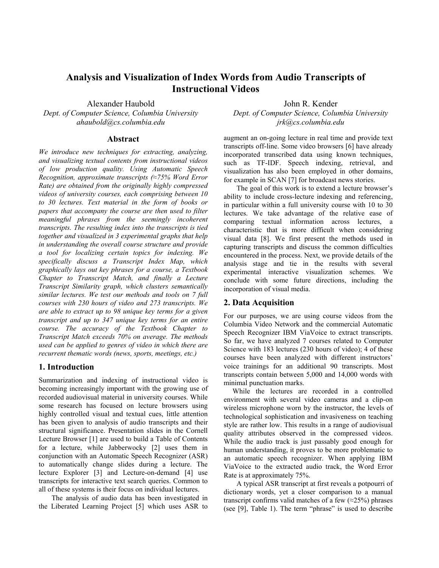# **Analysis and Visualization of Index Words from Audio Transcripts of Instructional Videos**

Alexander Haubold

*Dept. of Computer Science, Columbia University ahaubold@cs.columbia.edu*

# **Abstract**

*We introduce new techniques for extracting, analyzing, and visualizing textual contents from instructional videos of low production quality. Using Automatic Speech Recognition, approximate transcripts (≈75% Word Error Rate) are obtained from the originally highly compressed videos of university courses, each comprising between 10 to 30 lectures. Text material in the form of books or papers that accompany the course are then used to filter meaningful phrases from the seemingly incoherent transcripts. The resulting index into the transcripts is tied together and visualized in 3 experimental graphs that help in understanding the overall course structure and provide a tool for localizing certain topics for indexing. We specifically discuss a Transcript Index Map, which graphically lays out key phrases for a course, a Textbook Chapter to Transcript Match, and finally a Lecture Transcript Similarity graph, which clusters semantically similar lectures. We test our methods and tools on 7 full courses with 230 hours of video and 273 transcripts. We are able to extract up to 98 unique key terms for a given transcript and up to 347 unique key terms for an entire course. The accuracy of the Textbook Chapter to Transcript Match exceeds 70% on average. The methods used can be applied to genres of video in which there are recurrent thematic words (news, sports, meetings, etc.)* 

## **1. Introduction**

Summarization and indexing of instructional video is becoming increasingly important with the growing use of recorded audiovisual material in university courses. While some research has focused on lecture browsers using highly controlled visual and textual cues, little attention has been given to analysis of audio transcripts and their structural significance. Presentation slides in the Cornell Lecture Browser [1] are used to build a Table of Contents for a lecture, while Jabberwocky [2] uses them in conjunction with an Automatic Speech Recognizer (ASR) to automatically change slides during a lecture. The lecture Explorer [3] and Lecture-on-demand [4] use transcripts for interactive text search queries. Common to all of these systems is their focus on individual lectures.

The analysis of audio data has been investigated in the Liberated Learning Project [5] which uses ASR to John R. Kender

*Dept. of Computer Science, Columbia University jrk@cs.columbia.edu*

augment an on-going lecture in real time and provide text transcripts off-line. Some video browsers [6] have already incorporated transcribed data using known techniques, such as TF-IDF. Speech indexing, retrieval, and visualization has also been employed in other domains, for example in SCAN [7] for broadcast news stories.

The goal of this work is to extend a lecture browser's ability to include cross-lecture indexing and referencing, in particular within a full university course with 10 to 30 lectures. We take advantage of the relative ease of comparing textual information across lectures, a characteristic that is more difficult when considering visual data [8]. We first present the methods used in capturing transcripts and discuss the common difficulties encountered in the process. Next, we provide details of the analysis stage and tie in the results with several experimental interactive visualization schemes. We conclude with some future directions, including the incorporation of visual media.

## **2. Data Acquisition**

For our purposes, we are using course videos from the Columbia Video Network and the commercial Automatic Speech Recognizer IBM ViaVoice to extract transcripts. So far, we have analyzed 7 courses related to Computer Science with 183 lectures (230 hours of video); 4 of these courses have been analyzed with different instructors' voice trainings for an additional 90 transcripts. Most transcripts contain between 5,000 and 14,000 words with minimal punctuation marks.

While the lectures are recorded in a controlled environment with several video cameras and a clip-on wireless microphone worn by the instructor, the levels of technological sophistication and invasiveness on teaching style are rather low. This results in a range of audiovisual quality attributes observed in the compressed videos. While the audio track is just passably good enough for human understanding, it proves to be more problematic to an automatic speech recognizer. When applying IBM ViaVoice to the extracted audio track, the Word Error Rate is at approximately 75%.

A typical ASR transcript at first reveals a potpourri of dictionary words, yet a closer comparison to a manual transcript confirms valid matches of a few  $(\approx 25\%)$  phrases (see [9], Table 1). The term "phrase" is used to describe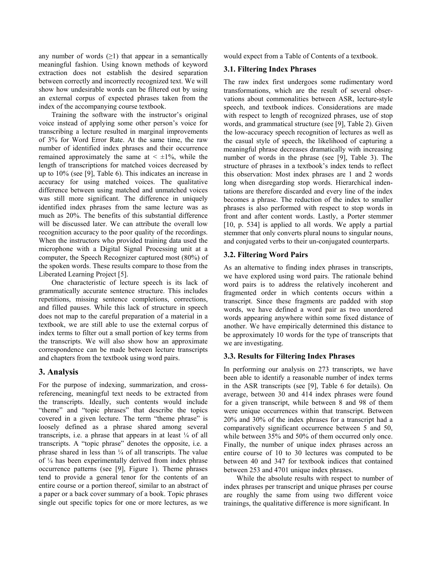any number of words  $(\geq 1)$  that appear in a semantically meaningful fashion. Using known methods of keyword extraction does not establish the desired separation between correctly and incorrectly recognized text. We will show how undesirable words can be filtered out by using an external corpus of expected phrases taken from the index of the accompanying course textbook.

Training the software with the instructor's original voice instead of applying some other person's voice for transcribing a lecture resulted in marginal improvements of 3% for Word Error Rate. At the same time, the raw number of identified index phrases and their occurrence remained approximately the same at  $\lt \pm 1\%$ , while the length of transcriptions for matched voices decreased by up to 10% (see [9], Table 6). This indicates an increase in accuracy for using matched voices. The qualitative difference between using matched and unmatched voices was still more significant. The difference in uniquely identified index phrases from the same lecture was as much as 20%. The benefits of this substantial difference will be discussed later. We can attribute the overall low recognition accuracy to the poor quality of the recordings. When the instructors who provided training data used the microphone with a Digital Signal Processing unit at a computer, the Speech Recognizer captured most (80%) of the spoken words. These results compare to those from the Liberated Learning Project [5].

One characteristic of lecture speech is its lack of grammatically accurate sentence structure. This includes repetitions, missing sentence completions, corrections, and filled pauses. While this lack of structure in speech does not map to the careful preparation of a material in a textbook, we are still able to use the external corpus of index terms to filter out a small portion of key terms from the transcripts. We will also show how an approximate correspondence can be made between lecture transcripts and chapters from the textbook using word pairs.

## **3. Analysis**

For the purpose of indexing, summarization, and crossreferencing, meaningful text needs to be extracted from the transcripts. Ideally, such contents would include "theme" and "topic phrases" that describe the topics covered in a given lecture. The term "theme phrase" is loosely defined as a phrase shared among several transcripts, i.e. a phrase that appears in at least  $\frac{1}{4}$  of all transcripts. A "topic phrase" denotes the opposite, i.e. a phrase shared in less than  $\frac{1}{4}$  of all transcripts. The value of  $\frac{1}{4}$  has been experimentally derived from index phrase occurrence patterns (see [9], Figure 1). Theme phrases tend to provide a general tenor for the contents of an entire course or a portion thereof, similar to an abstract of a paper or a back cover summary of a book. Topic phrases single out specific topics for one or more lectures, as we would expect from a Table of Contents of a textbook.

## **3.1. Filtering Index Phrases**

The raw index first undergoes some rudimentary word transformations, which are the result of several observations about commonalities between ASR, lecture-style speech, and textbook indices. Considerations are made with respect to length of recognized phrases, use of stop words, and grammatical structure (see [9], Table 2). Given the low-accuracy speech recognition of lectures as well as the casual style of speech, the likelihood of capturing a meaningful phrase decreases dramatically with increasing number of words in the phrase (see [9], Table 3). The structure of phrases in a textbook's index tends to reflect this observation: Most index phrases are 1 and 2 words long when disregarding stop words. Hierarchical indentations are therefore discarded and every line of the index becomes a phrase. The reduction of the index to smaller phrases is also performed with respect to stop words in front and after content words. Lastly, a Porter stemmer [10, p. 534] is applied to all words. We apply a partial stemmer that only converts plural nouns to singular nouns, and conjugated verbs to their un-conjugated counterparts.

## **3.2. Filtering Word Pairs**

As an alternative to finding index phrases in transcripts, we have explored using word pairs. The rationale behind word pairs is to address the relatively incoherent and fragmented order in which contents occurs within a transcript. Since these fragments are padded with stop words, we have defined a word pair as two unordered words appearing anywhere within some fixed distance of another. We have empirically determined this distance to be approximately 10 words for the type of transcripts that we are investigating.

#### **3.3. Results for Filtering Index Phrases**

In performing our analysis on 273 transcripts, we have been able to identify a reasonable number of index terms in the ASR transcripts (see [9], Table 6 for details). On average, between 30 and 414 index phrases were found for a given transcript, while between 8 and 98 of them were unique occurrences within that transcript. Between 20% and 30% of the index phrases for a transcript had a comparatively significant occurrence between 5 and 50, while between 35% and 50% of them occurred only once. Finally, the number of unique index phrases across an entire course of 10 to 30 lectures was computed to be between 40 and 347 for textbook indices that contained between 253 and 4701 unique index phrases.

While the absolute results with respect to number of index phrases per transcript and unique phrases per course are roughly the same from using two different voice trainings, the qualitative difference is more significant. In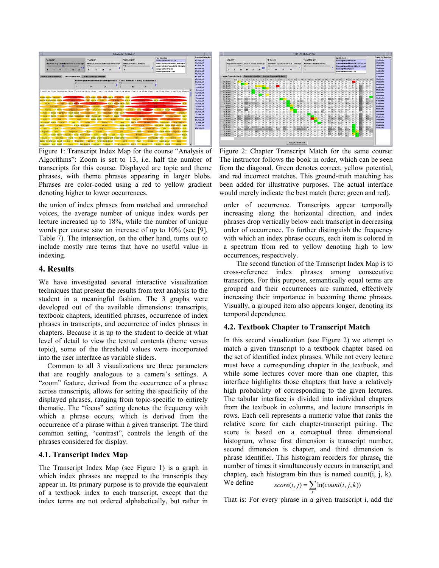

Figure 1: Transcript Index Map for the course "Analysis of Algorithms": Zoom is set to 13, i.e. half the number of transcripts for this course. Displayed are topic and theme phrases, with theme phrases appearing in larger blobs. Phrases are color-coded using a red to yellow gradient denoting higher to lower occurrences.

the union of index phrases from matched and unmatched voices, the average number of unique index words per lecture increased up to 18%, while the number of unique words per course saw an increase of up to 10% (see [9], Table 7). The intersection, on the other hand, turns out to include mostly rare terms that have no useful value in indexing.

## **4. Results**

We have investigated several interactive visualization techniques that present the results from text analysis to the student in a meaningful fashion. The 3 graphs were developed out of the available dimensions: transcripts, textbook chapters, identified phrases, occurrence of index phrases in transcripts, and occurrence of index phrases in chapters. Because it is up to the student to decide at what level of detail to view the textual contents (theme versus topic), some of the threshold values were incorporated into the user interface as variable sliders.

Common to all 3 visualizations are three parameters that are roughly analogous to a camera's settings. A "zoom" feature, derived from the occurrence of a phrase across transcripts, allows for setting the specificity of the displayed phrases, ranging from topic-specific to entirely thematic. The "focus" setting denotes the frequency with which a phrase occurs, which is derived from the occurrence of a phrase within a given transcript. The third common setting, "contrast", controls the length of the phrases considered for display.

#### **4.1. Transcript Index Map**

The Transcript Index Map (see Figure 1) is a graph in which index phrases are mapped to the transcripts they appear in. Its primary purpose is to provide the equivalent of a textbook index to each transcript, except that the index terms are not ordered alphabetically, but rather in



Figure 2: Chapter Transcript Match for the same course: The instructor follows the book in order, which can be seen from the diagonal. Green denotes correct, yellow potential, and red incorrect matches. This ground-truth matching has been added for illustrative purposes. The actual interface would merely indicate the best match (here: green and red).

order of occurrence. Transcripts appear temporally increasing along the horizontal direction, and index phrases drop vertically below each transcript in decreasing order of occurrence. To further distinguish the frequency with which an index phrase occurs, each item is colored in a spectrum from red to yellow denoting high to low occurrences, respectively.

The second function of the Transcript Index Map is to cross-reference index phrases among consecutive transcripts. For this purpose, semantically equal terms are grouped and their occurrences are summed, effectively increasing their importance in becoming theme phrases. Visually, a grouped item also appears longer, denoting its temporal dependence.

# **4.2. Textbook Chapter to Transcript Match**

In this second visualization (see Figure 2) we attempt to match a given transcript to a textbook chapter based on the set of identified index phrases. While not every lecture must have a corresponding chapter in the textbook, and while some lectures cover more than one chapter, this interface highlights those chapters that have a relatively high probability of corresponding to the given lectures. The tabular interface is divided into individual chapters from the textbook in columns, and lecture transcripts in rows. Each cell represents a numeric value that ranks the relative score for each chapter-transcript pairing. The score is based on a conceptual three dimensional histogram, whose first dimension is transcript number, second dimension is chapter, and third dimension is phrase identifier. This histogram reorders for phrase<sub>k</sub> the number of times it simultaneously occurs in transcript, and chapter<sub>i</sub>, each histogram bin thus is named count $(i, j, k)$ . We define  $s$ *c*<sup>*k*</sup>

$$
score(i, j) = \sum_{k} ln(count(i, j, k))
$$

That is: For every phrase in a given transcript i, add the